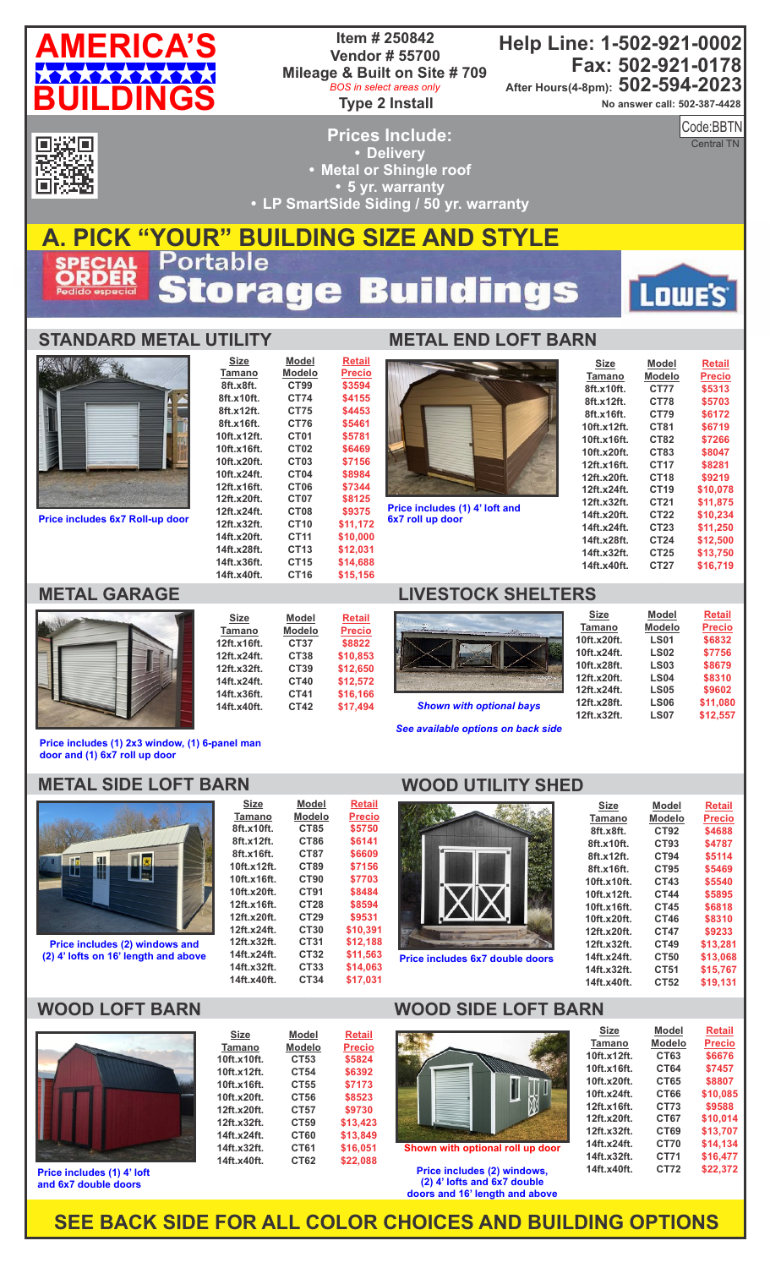| <b>AMERICA'S</b> |  |
|------------------|--|
| **********       |  |
| <b>BUILDINGS</b> |  |

#### **Item # 250842 Vendor # 55700 Mileage & Built on Site # 709 Type 2 Install** *BOS in select areas only*

**Help Line: 1-502-921-0002 Fax: 502-921-0178 After Hours(4-8pm): 502-594-2023**

**No answer call: 502-387-4428**

**AMERICA'S CONSTRUCTION** 

Code: Code:BBTN

Central TN

Lowe's

回送回<br>RSSSS

**Prices Include: Delivery • Metal or Shingle roof 5 yr. warranty • LP SmartSide Siding / 50 yr. warranty** 

#### **A. PICK "YOUR" BUILDING SIZE AND STYLE ECIAL**<br>RDER 53  $\mathbf{r}$  $\ddot{\bullet}$ Ū Ĝ U 8

**Model Modelo CT99 CT74 CT75 CT76 CT01 CT02 CT03 CT04 CT06 CT07 CT08 CT10 CT11 CT13 CT15 CT16**

**Retail Precio \$3594 \$4155 \$4453 \$5461 \$5781 \$6469 \$7156 \$8984 \$7344 \$8125 \$9375 \$11,172 \$10,000 \$12,031 \$14,688 \$15,156**

# **STANDARD METAL UTILITY**

**Size Tamano 8ft.x8ft. 8ft.x10ft. 8ft.x12ft. 8ft.x16ft. 10ft.x12ft. 10ft.x16ft. 10ft.x20ft. 10ft.x24ft. 12ft.x16ft. 12ft.x20ft. 12ft.x24ft. 12ft.x32ft. 14ft.x20ft. 14ft.x28ft. 14ft.x36ft. 14ft.x40ft.**



**Price includes 6x7 Roll-up door** 



| <b>Size</b>   | Model         | <b>Retail</b> |
|---------------|---------------|---------------|
| <b>Tamano</b> | <b>Modelo</b> | <b>Precio</b> |
| 12ft.x16ft.   | CT37          | \$8822        |
| 12ft.x24ft.   | CT38          | \$10.853      |
| 12ft.x32ft.   | CT39          | \$12.650      |
| 14ft.x24ft.   | CT40          | \$12.572      |
| 14ft.x36ft.   | CT41          | \$16.166      |
| 14ft.x40ft.   | CT42          | \$17,494      |

**METAL END LOFT BARN**

**Price includes (1) 4' loft and** 

| Size        | Model       | Retail   |
|-------------|-------------|----------|
| Tamano      | Modelo      | Precio   |
| 8ft.x10ft.  | <b>CT77</b> | \$5313   |
| 8ft.x12ft.  | CT78        | \$5703   |
| 8ft.x16ft.  | CT79        | \$6172   |
| 10ft.x12ft. | CT81        | \$6719   |
| 10ft.x16ft. | CT82        | \$7266   |
| 10ft.x20ft. | CT83        | \$8047   |
| 12ft.x16ft. | CT17        | \$8281   |
| 12ft.x20ft. | CT18        | \$9219   |
| 12ft.x24ft. | CT19        | \$10,078 |
| 12ft.x32ft. | CT21        | \$11.875 |
| 14ft.x20ft. | CT22        | \$10.234 |
| 14ft.x24ft. | CT23        | \$11,250 |
| 14ft.x28ft. | CT24        | \$12,500 |
| 14ft.x32ft. | CT25        | \$13,750 |
| 14ft.x40ft. | CT27        | \$16.719 |
|             |             |          |

## **METAL GARAGE LIVESTOCK SHELTERS**



*See available options on back side*

| Tamano      | <b>Modelo</b> | <b>Precio</b> |
|-------------|---------------|---------------|
| 10ft.x20ft. | <b>LS01</b>   | \$6832        |
| 10ft.x24ft. | <b>LS02</b>   | \$7756        |
| 10ft.x28ft. | <b>LS03</b>   | \$8679        |
| 12ft.x20ft. | <b>LS04</b>   | \$8310        |
| 12ft.x24ft. | <b>LS05</b>   | \$9602        |
| 12ft.x28ft. | <b>LS06</b>   | \$11.080      |
| 12ft.x32ft. | <b>LS07</b>   | \$12.557      |

**Model**

**Retail**

**Size**

**Price includes (1) 2x3 window, (1) 6-panel man door and (1) 6x7 roll up door**

## **METAL SIDE LOFT BARN**



**Price includes (2) windows and (2) 4' lofts on 16' length and above**

**8ft.x10ft. 8ft.x12ft. 8ft.x16ft. 10ft.x12ft. 10ft.x16ft. 10ft.x20ft. 12ft.x16ft. 12ft.x20ft. 12ft.x24ft. 12ft.x32ft. 14ft.x24ft. 14ft.x32ft. 14ft.x40ft. CT85 CT86 CT87 CT89 CT90 CT91 CT28 CT29 CT30 CT31 CT32 CT33 CT34 \$5750 \$6141 \$6609 \$7156 \$7703 \$8484 \$8594 \$9531 \$10,391 \$12,188 \$11,563 \$14,063 \$17,031**

**Model Modelo CT53 CT54 CT55 CT56 CT57 CT59 CT60 CT61 CT62**

**Size Tamano 10ft.x10ft. 10ft.x12ft. 10ft.x16ft. 10ft.x20ft. 12ft.x20ft. 12ft.x32ft. 14ft.x24ft. 14ft.x32ft. 14ft.x40ft.**

## **WOOD UTILITY SHED**



**Price includes 6x7 double doors**

**WOOD SIDE LOFT BARN**

| <b>Size</b> | Model       | <b>Retail</b> |
|-------------|-------------|---------------|
| Tamano      | Modelo      | Precio        |
| 8ft.x8ft.   | <b>CT92</b> | \$4688        |
| 8ft.x10ft.  | CT93        | \$4787        |
| 8ft.x12ft.  | CT94        | \$5114        |
| 8ft.x16ft.  | CT95        | \$5469        |
| 10ft.x10ft. | CT43        | \$5540        |
| 10ft.x12ft. | <b>CT44</b> | \$5895        |
| 10ft.x16ft. | CT45        | \$6818        |
| 10ft.x20ft. | CT46        | \$8310        |
| 12ft.x20ft. | <b>CT47</b> | \$9233        |
| 12ft.x32ft. | CT49        | \$13.281      |
| 14ft.x24ft. | CT50        | \$13.068      |
| 14ft.x32ft. | CT51        | \$15,767      |
| 14ft.x40ft. | CT52        | \$19.131      |

## **WOOD LOFT BARN**



**Price includes (1) 4' loft and 6x7 double doors**

#### **Retail Precio \$5824 \$6392**



### with optional roll up doo

**Price includes (2) windows, (2) 4' lofts and 6x7 double doors and 16' length and above**

| <b>Size</b>   | <b>Model</b>  | <b>Retail</b> |
|---------------|---------------|---------------|
| <b>Tamano</b> | <b>Modelo</b> | <b>Precio</b> |
| 10ft.x12ft.   | CT63          | \$6676        |
| 10ft.x16ft.   | CT64          | \$7457        |
| 10ft.x20ft.   | CT65          | \$8807        |
| 10ft.x24ft.   | CT66          | \$10.085      |
| 12ft.x16ft.   | CT73          | \$9588        |
| 12ft.x20ft.   | CT67          | \$10.014      |
| 12ft.x32ft.   | CT69          | \$13.707      |
| 14ft.x24ft.   | <b>CT70</b>   | \$14.134      |
| 14ft.x32ft.   | <b>CT71</b>   | \$16.477      |
| 14ft.x40ft.   | <b>CT72</b>   | \$22,372      |
|               |               |               |

**SEE BACK SIDE FOR ALL COLOR CHOICES AND BUILDING OPTIONS**

**\$7173 \$8523 \$9730 \$13,423 \$13,849 \$16,051 \$22,088**

#### **Size Tamano Model Modelo Retail Precio**